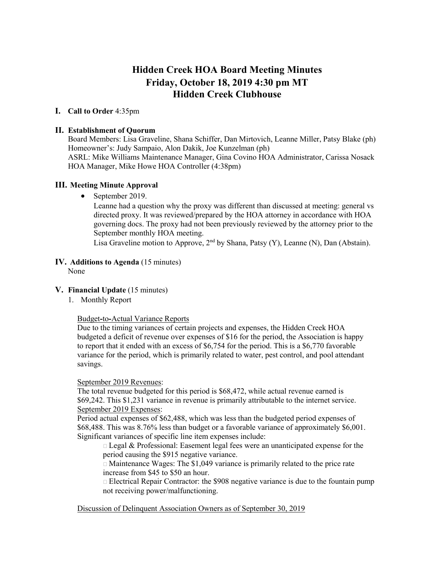# **Hidden Creek HOA Board Meeting Minutes Friday, October 18, 2019 4:30 pm MT Hidden Creek Clubhouse**

## **I. Call to Order** 4:35pm

### **II. Establishment of Quorum**

Board Members: Lisa Graveline, Shana Schiffer, Dan Mirtovich, Leanne Miller, Patsy Blake (ph) Homeowner's: Judy Sampaio, Alon Dakik, Joe Kunzelman (ph) ASRL: Mike Williams Maintenance Manager, Gina Covino HOA Administrator, Carissa Nosack HOA Manager, Mike Howe HOA Controller (4:38pm)

## **III. Meeting Minute Approval**

• September 2019.

Leanne had a question why the proxy was different than discussed at meeting: general vs directed proxy. It was reviewed/prepared by the HOA attorney in accordance with HOA governing docs. The proxy had not been previously reviewed by the attorney prior to the September monthly HOA meeting.

Lisa Graveline motion to Approve,  $2<sup>nd</sup>$  by Shana, Patsy (Y), Leanne (N), Dan (Abstain).

## **IV. Additions to Agenda** (15 minutes)

None

#### **V. Financial Update** (15 minutes)

1. Monthly Report

#### Budget**-**to**-**Actual Variance Reports

Due to the timing variances of certain projects and expenses, the Hidden Creek HOA budgeted a deficit of revenue over expenses of \$16 for the period, the Association is happy to report that it ended with an excess of \$6,754 for the period. This is a \$6,770 favorable variance for the period, which is primarily related to water, pest control, and pool attendant savings.

#### September 2019 Revenues:

The total revenue budgeted for this period is \$68,472, while actual revenue earned is \$69,242. This \$1,231 variance in revenue is primarily attributable to the internet service. September 2019 Expenses:

Period actual expenses of \$62,488, which was less than the budgeted period expenses of \$68,488. This was 8.76% less than budget or a favorable variance of approximately \$6,001. Significant variances of specific line item expenses include:

 $\Box$  Legal & Professional: Easement legal fees were an unanticipated expense for the period causing the \$915 negative variance.

 $\Box$  Maintenance Wages: The \$1,049 variance is primarily related to the price rate increase from \$45 to \$50 an hour.

 $\Box$  Electrical Repair Contractor: the \$908 negative variance is due to the fountain pump not receiving power/malfunctioning.

#### Discussion of Delinquent Association Owners as of September 30, 2019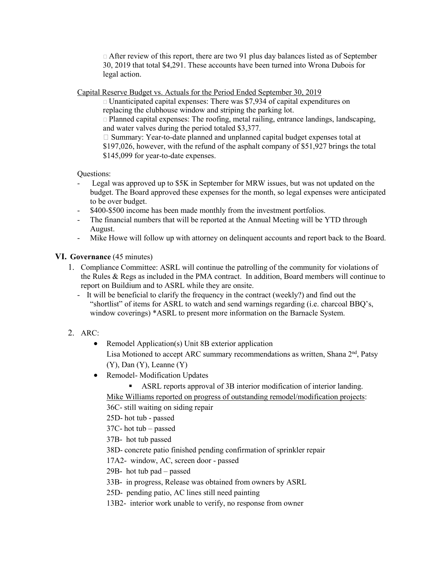$\Box$  After review of this report, there are two 91 plus day balances listed as of September 30, 2019 that total \$4,291. These accounts have been turned into Wrona Dubois for legal action.

Capital Reserve Budget vs. Actuals for the Period Ended September 30, 2019

 $\Box$  Unanticipated capital expenses: There was \$7,934 of capital expenditures on replacing the clubhouse window and striping the parking lot.  $\Box$  Planned capital expenses: The roofing, metal railing, entrance landings, landscaping, and water valves during the period totaled \$3,377.  $\Box$  Summary: Year-to-date planned and unplanned capital budget expenses total at \$197,026, however, with the refund of the asphalt company of \$51,927 brings the total

\$145,099 for year-to-date expenses.

Questions:

- Legal was approved up to  $$5K$  in September for MRW issues, but was not updated on the budget. The Board approved these expenses for the month, so legal expenses were anticipated to be over budget.
- \$400-\$500 income has been made monthly from the investment portfolios.
- The financial numbers that will be reported at the Annual Meeting will be YTD through August.
- Mike Howe will follow up with attorney on delinquent accounts and report back to the Board.

## **VI. Governance** (45 minutes)

- 1. Compliance Committee: ASRL will continue the patrolling of the community for violations of the Rules & Regs as included in the PMA contract. In addition, Board members will continue to report on Buildium and to ASRL while they are onsite.
	- It will be beneficial to clarify the frequency in the contract (weekly?) and find out the "shortlist" of items for ASRL to watch and send warnings regarding (i.e. charcoal BBQ's, window coverings) \*ASRL to present more information on the Barnacle System.
- 2. ARC:
	- Remodel Application(s) Unit 8B exterior application Lisa Motioned to accept ARC summary recommendations as written, Shana  $2<sup>nd</sup>$ , Patsy  $(Y)$ , Dan  $(Y)$ , Leanne  $(Y)$
	- Remodel-Modification Updates
		- ASRL reports approval of 3B interior modification of interior landing.

Mike Williams reported on progress of outstanding remodel/modification projects:

36C- still waiting on siding repair

25D- hot tub - passed

37C- hot tub – passed

37B- hot tub passed

38D- concrete patio finished pending confirmation of sprinkler repair

17A2- window, AC, screen door - passed

29B- hot tub pad – passed

- 33B- in progress, Release was obtained from owners by ASRL
- 25D- pending patio, AC lines still need painting

13B2- interior work unable to verify, no response from owner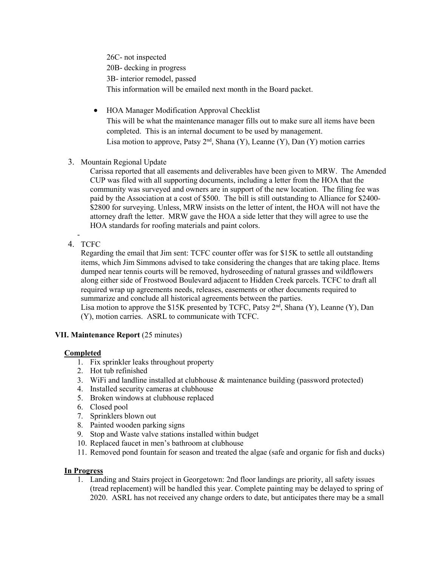26C- not inspected 20B- decking in progress 3B- interior remodel, passed This information will be emailed next month in the Board packet.

- HOA Manager Modification Approval Checklist This will be what the maintenance manager fills out to make sure all items have been completed. This is an internal document to be used by management. Lisa motion to approve, Patsy  $2<sup>nd</sup>$ , Shana (Y), Leanne (Y), Dan (Y) motion carries
- 3. Mountain Regional Update

Carissa reported that all easements and deliverables have been given to MRW. The Amended CUP was filed with all supporting documents, including a letter from the HOA that the community was surveyed and owners are in support of the new location. The filing fee was paid by the Association at a cost of \$500. The bill is still outstanding to Alliance for \$2400- \$2800 for surveying. Unless, MRW insists on the letter of intent, the HOA will not have the attorney draft the letter. MRW gave the HOA a side letter that they will agree to use the HOA standards for roofing materials and paint colors.

- 4. TCFC

> Regarding the email that Jim sent: TCFC counter offer was for \$15K to settle all outstanding items, which Jim Simmons advised to take considering the changes that are taking place. Items dumped near tennis courts will be removed, hydroseeding of natural grasses and wildflowers along either side of Frostwood Boulevard adjacent to Hidden Creek parcels. TCFC to draft all required wrap up agreements needs, releases, easements or other documents required to summarize and conclude all historical agreements between the parties.

Lisa motion to approve the \$15K presented by TCFC, Patsy 2<sup>nd</sup>, Shana (Y), Leanne (Y), Dan (Y), motion carries. ASRL to communicate with TCFC.

## **VII. Maintenance Report** (25 minutes)

## **Completed**

- 1. Fix sprinkler leaks throughout property
- 2. Hot tub refinished
- 3. WiFi and landline installed at clubhouse & maintenance building (password protected)
- 4. Installed security cameras at clubhouse
- 5. Broken windows at clubhouse replaced
- 6. Closed pool
- 7. Sprinklers blown out
- 8. Painted wooden parking signs
- 9. Stop and Waste valve stations installed within budget
- 10. Replaced faucet in men's bathroom at clubhouse
- 11. Removed pond fountain for season and treated the algae (safe and organic for fish and ducks)

## **In Progress**

1. Landing and Stairs project in Georgetown: 2nd floor landings are priority, all safety issues (tread replacement) will be handled this year. Complete painting may be delayed to spring of 2020. ASRL has not received any change orders to date, but anticipates there may be a small